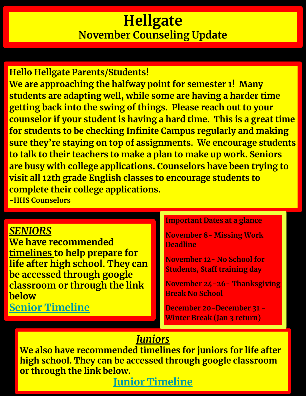## **Hellgate November Counseling Update**

**Hello Hellgate Parents/Students! We are approaching the halfway point for semester 1! Many students are adapting well, while some are having a harder time getting back into the swing of things. Please reach out to your counselor if your student is having a hard time. This is a great time for students to be checking Infinite Campus regularly and making sure they're staying on top of assignments. We encourage students to talk to their teachers to make a plan to make up work. Seniors are busy with college applications. Counselors have been trying to visit all 12th grade English classes to encourage students to complete their college applications. -HHS Counselors**

#### *SENIORS*

**We have recommended timelines to help prepare for life after high school. They can be accessed through google classroom or through the link below**

#### **[Senior Timeline](https://docs.google.com/document/d/1Syd66S9T30H4enVlU-Poc3x1zP76XEePu8crhOMNerA/edit)**

#### **Important Dates at a glance**

**November 8- Missing Work Deadline** 

**November 12- No School for Students, Staff training day** 

**November 24-26- Thanksgiving Break No School**

**December 20-December 31 - Winter Break (Jan 3 return)** 

#### *Juniors*

**We also have recommended timelines for juniors for life after high school. They can be accessed through google classroom or through the link below.**

**[Junior Timeline](https://docs.google.com/document/d/1_2G4ot8tHp3MPRWteyyiE0pZC6ZtvY7tLDrtBREoODE/edit)**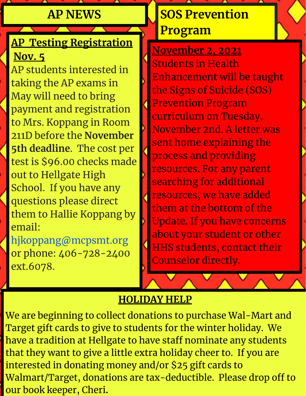#### **AP NEWS**

#### **AP Testing Registration Nov. 5**

AP students interested in taking the AP exams in May will need to bring payment and registration to Mrs. Koppang in Room 211D before the **November 5th deadline**. The cost per test is \$96.00 checks made out to Hellgate High School. If you have any questions please direct them to Hallie Koppang by email: hjkoppang@mcpsmt.org

or phone: 406-728-2400 ext.6078.

## **SOS Prevention Program**

**November 2, 2021** Students in Health Enhancement will be taught the Signs of Suicide (SOS) Prevention Program curriculum on Tuesday, November 2nd. A letter was sent home explaining the process and providing resources. For any parent searching for additional resources, we have added them at the bottom of the Update. If you have concerns about your student or other HHS students, contact their Counselor directly.

#### **HOLIDAY HELP**

We are beginning to collect donations to purchase Wal-Mart and Target gift cards to give to students for the winter holiday. We have a tradition at Hellgate to have staff nominate any students that they want to give a little extra holiday cheer to. If you are interested in donating money and/or \$25 gift cards to Walmart/Target, donations are tax-deductible. Please drop off to our book keeper, Cheri**.**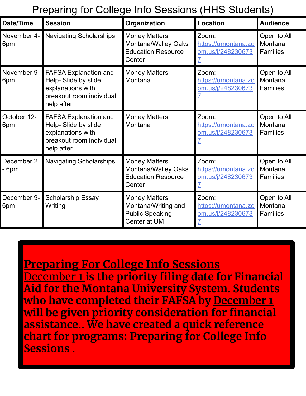#### Preparing for College Info Sessions (HHS Students)

| <b>Date/Time</b>   | <b>Session</b>                                                                                                      | Organization                                                                          | <b>Location</b>                                   | <b>Audience</b>                           |
|--------------------|---------------------------------------------------------------------------------------------------------------------|---------------------------------------------------------------------------------------|---------------------------------------------------|-------------------------------------------|
| November 4-<br>6pm | <b>Navigating Scholarships</b>                                                                                      | <b>Money Matters</b><br>Montana/Walley Oaks<br><b>Education Resource</b><br>Center    | Zoom:<br>https://umontana.zo<br>om.us/j/248230673 | Open to All<br>Montana<br><b>Families</b> |
| November 9-<br>6pm | <b>FAFSA Explanation and</b><br>Help- Slide by slide<br>explanations with<br>breakout room individual<br>help after | <b>Money Matters</b><br>Montana                                                       | Zoom:<br>https://umontana.zo<br>om.us/j/248230673 | Open to All<br>Montana<br><b>Families</b> |
| October 12-<br>6pm | <b>FAFSA Explanation and</b><br>Help- Slide by slide<br>explanations with<br>breakout room individual<br>help after | <b>Money Matters</b><br>Montana                                                       | Zoom:<br>https://umontana.zo<br>om.us/j/248230673 | Open to All<br>Montana<br><b>Families</b> |
| December 2<br>6pm  | <b>Navigating Scholarships</b>                                                                                      | <b>Money Matters</b><br>Montana/Walley Oaks<br><b>Education Resource</b><br>Center    | Zoom:<br>https://umontana.zo<br>om.us/j/248230673 | Open to All<br>Montana<br><b>Families</b> |
| December 9-<br>6pm | <b>Scholarship Essay</b><br>Writing                                                                                 | <b>Money Matters</b><br>Montana/Writing and<br><b>Public Speaking</b><br>Center at UM | Zoom:<br>https://umontana.zo<br>om.us/j/248230673 | Open to All<br>Montana<br><b>Families</b> |

**Preparing For College Info Sessions** December 1 **is the priority filing date for Financial Aid for the Montana University System. Students who have completed their FAFSA by December 1 will be given priority consideration for financial assistance.. We have created a quick reference chart for programs: Preparing for College Info Sessions .**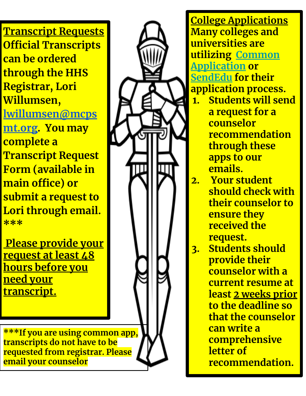**Transcript Requests Official Transcripts can be ordered through the HHS Registrar, Lori Willumsen, [lwillumsen@mcps](mailto:lwillumsen@mcpsmt.org) [mt.org](mailto:lwillumsen@mcpsmt.org). You may complete a Transcript Request Form (available in main office) or submit a request to Lori through email. \*\*\***

 **Please provide your request at least 48 hours before you need your transcript.**

**\*\*\*If you are using common app, transcripts do not have to be requested from registrar. Please email your counselor**

**College Applications Many colleges and universities are utilizing [Common](https://www.commonapp.org/) [Application](https://www.commonapp.org/) or [SendEdu](https://sendedu.org/) for their application process. 1. Students will send a request for a counselor recommendation through these apps to our emails. 2. Your student should check with their counselor to ensure they received the request. 3. Students should provide their counselor with a current resume at least 2 weeks prior to the deadline so that the counselor can write a comprehensive letter of recommendation.**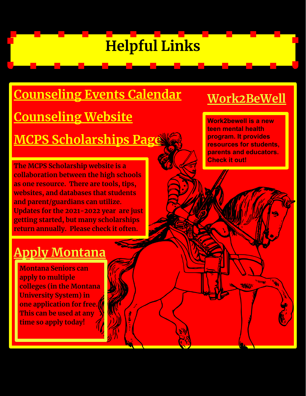# **Helpful Links**

# **[Counseling Events Calendar](https://classroom.google.com/c/NDcxNzI0NzM5ODNa/m/NDcxNzQzNDg1NTNa/details) [Counseling Website](http://www.mcpsmt.org//Domain/334) [MCPS Scholarships Page](https://www.mcpsmt.org/Domain/2739)**

**The MCPS Scholarship website is a collaboration between the high schools as one resource. There are tools, tips, websites, and databases that students and parent/guardians can utilize. Updates for the 2021-2022 year are just getting started, but many scholarships return annually. Please check it often.** 

# **[Work2BeWell](https://work2bewell.org/)**

**Work2bewell is a new teen mental health program. It provides resources for students, parents and educators. Check it out!** 

## **[Apply Montana](https://applymt2021.liaisoncas.com/applicant-ux/#/login)**

**Montana Seniors can apply to multiple colleges (in the Montana University System) in one application for free. This can be used at any time so apply today!**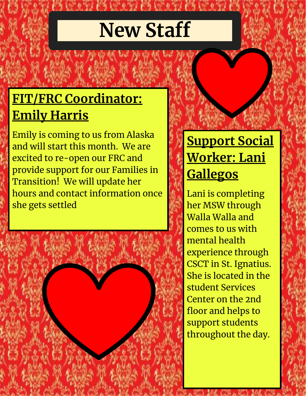# **New Staff**

# **FIT/FRC Coordinator: Emily Harris**

Emily is coming to us from Alaska and will start this month. We are excited to re-open our FRC and provide support for our Families in Transition! We will update her hours and contact information once she gets settled



# **Support Social Worker: Lani Gallegos**

Lani is completing her MSW through Walla Walla and comes to us with mental health experience through CSCT in St. Ignatius. She is located in the student Services Center on the 2nd floor and helps to support students throughout the day.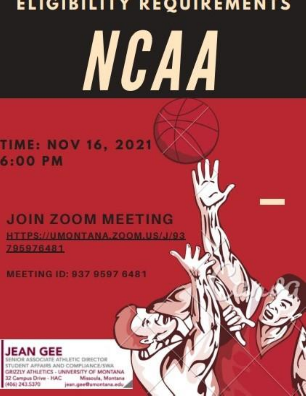# ELIGIBILITY REQUIREMENTS NC A A

## **TIME: NOV 16, 2021** 6:00 PM

# **JOIN ZOOM MEETING** HTTPS://UMONTANA.ZOOM.US/J/93

795976481

MEETING ID: 937 9597 6481



**CIATE ATHLETIC DIRECTOR** STUDENT AFFAIRS AND COMPLIANCE/SWA GRIZZLY ATHLETICS - UNIVERSITY OF MONTANA 32 Campus Drive - HAC Missoula, Montana (406) 243 5370 jean.gee@umontana.edu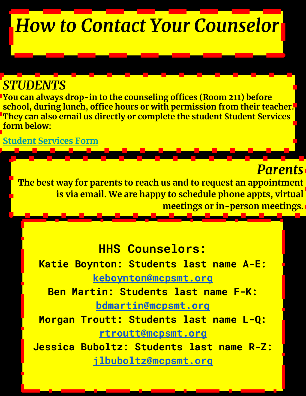# *How to Contact Your Counselor*

#### *STUDENTS*

**You can always drop-in to the counseling offices (Room 211) before school, during lunch, office hours or with permission from their teacher. They can also email us directly or complete the student Student Services form below:**

**[Student Services Form](https://docs.google.com/forms/d/e/1FAIpQLSeOOvm6ScQxdaCVodQKRnYrgvwmg6fyu9Tu1uh_V6nNFITP4w/viewform?usp=sf_link)**

### *Parents*

**The best way for parents to reach us and to request an appointment is via email. We are happy to schedule phone appts, virtual meetings or in-person meetings.** 

#### **HHS Counselors:**

**Katie Boynton: Students last name A-E: [keboynton@mcpsmt.org](mailto:keboynton@mcpsmt.org)**

**Ben Martin: Students last name F-K: [bdmartin@mcpsmt.org](mailto:bdmartin@mcpsmt.org)**

**Morgan Troutt: Students last name L-Q: [rtroutt@mcpsmt.org](mailto:rtroutt@mcpsmt.org)**

**Jessica Buboltz: Students last name R-Z: [jlbuboltz@mcpsmt.org](mailto:jlbuboltz@mcpsmt.org)**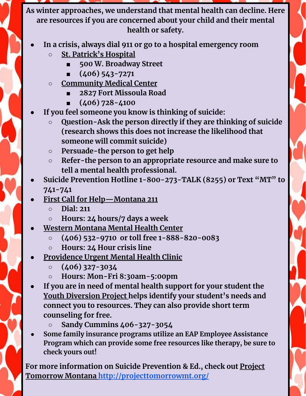**As winter approaches, we understand that mental health can decline. Here are resources if you are concerned about your child and their mental health or safety.**

- **● In a crisis, always dial 911 or go to a hospital emergency room**
	- **○ St. Patrick's Hospital**
		- **■ 500 W. Broadway Street**
		- **■ (406) 543-7271**
	- **○ Community Medical Center**
		- **■ 2827 Fort Missoula Road**
		- **■ (406) 728-4100**
- **● If you feel someone you know is thinking of suicide:**
	- **○ Question-Ask the person directly if they are thinking of suicide (research shows this does not increase the likelihood that someone will commit suicide)**
	- **○ Persuade-the person to get help**
	- **○ Refer-the person to an appropriate resource and make sure to tell a mental health professional.**
- **● Suicide Prevention Hotline 1-800-273-TALK (8255) or Text "MT" to 741-741**
- **● First Call for Help—Montana 211**
	- **○ Dial: 211**
	- **○ Hours: 24 hours/7 days a week**
- **● Western Montana Mental Health Center**
	- **○ (406) 532-9710 or toll free 1-888-820-0083**
	- **○ Hours: 24 Hour crisis line**
- **● Providence Urgent Mental Health Clinic**
	- **○ (406) 327-3034**
	- **○ Hours: Mon-Fri 8:30am-5:00pm**
- **● If you are in need of mental health support for your student the Youth Diversion Project helps identify your student's needs and connect you to resources. They can also provide short term counseling for free.**
	- **○ Sandy Cummins 406-327-3054**
- **● Some family insurance programs utilize an EAP Employee Assistance Program which can provide some free resources like therapy, be sure to check yours out!**

**For more information on Suicide Prevention & Ed., check out Project Tomorrow Montana <http://projecttomorrowmt.org/>**